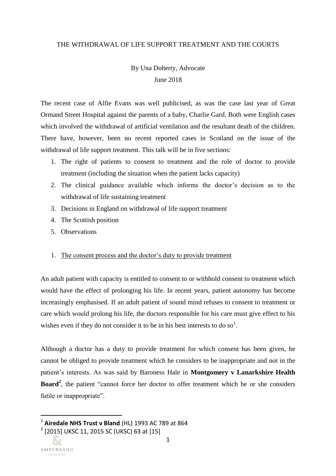#### THE WITHDRAWAL OF LIFE SUPPORT TREATMENT AND THE COURTS

# By Una Doherty, Advocate June 2018

The recent case of Alfie Evans was well publicised, as was the case last year of Great Ormand Street Hospital against the parents of a baby, Charlie Gard. Both were English cases which involved the withdrawal of artificial ventilation and the resultant death of the children. There have, however, been no recent reported cases in Scotland on the issue of the withdrawal of life support treatment. This talk will be in five sections:

- 1. The right of patients to consent to treatment and the role of doctor to provide treatment (including the situation when the patient lacks capacity)
- 2. The clinical guidance available which informs the doctor's decision as to the withdrawal of life sustaining treatment
- 3. Decisions in England on withdrawal of life support treatment
- 4. The Scottish position
- 5. Observations

### 1. The consent process and the doctor's duty to provide treatment

An adult patient with capacity is entitled to consent to or withhold consent to treatment which would have the effect of prolonging his life. In recent years, patient autonomy has become increasingly emphasised. If an adult patient of sound mind refuses to consent to treatment or care which would prolong his life, the doctors responsible for his care must give effect to his wishes even if they do not consider it to be in his best interests to do so<sup>1</sup>.

Although a doctor has a duty to provide treatment for which consent has been given, he cannot be obliged to provide treatment which he considers to be inappropriate and not in the patient's interests. As was said by Baroness Hale in **Montgomery v Lanarkshire Health Board<sup>2</sup>** , the patient "cannot force her doctor to offer treatment which he or she considers futile or inappropriate".

1 **Airedale NHS Trust v Bland** (HL) 1993 AC 789 at 864

 $^2$  [2015] UKSC 11, 2015 SC (UKSC) 63 at [15]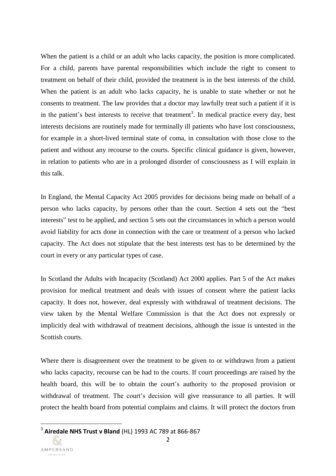When the patient is a child or an adult who lacks capacity, the position is more complicated. For a child, parents have parental responsibilities which include the right to consent to treatment on behalf of their child, provided the treatment is in the best interests of the child. When the patient is an adult who lacks capacity, he is unable to state whether or not he consents to treatment. The law provides that a doctor may lawfully treat such a patient if it is in the patient's best interests to receive that treatment<sup>3</sup>. In medical practice every day, best interests decisions are routinely made for terminally ill patients who have lost consciousness, for example in a short-lived terminal state of coma, in consultation with those close to the patient and without any recourse to the courts. Specific clinical guidance is given, however, in relation to patients who are in a prolonged disorder of consciousness as I will explain in this talk.

In England, the Mental Capacity Act 2005 provides for decisions being made on behalf of a person who lacks capacity, by persons other than the court. Section 4 sets out the "best interests" test to be applied, and section 5 sets out the circumstances in which a person would avoid liability for acts done in connection with the care or treatment of a person who lacked capacity. The Act does not stipulate that the best interests test has to be determined by the court in every or any particular types of case.

In Scotland the Adults with Incapacity (Scotland) Act 2000 applies. Part 5 of the Act makes provision for medical treatment and deals with issues of consent where the patient lacks capacity. It does not, however, deal expressly with withdrawal of treatment decisions. The view taken by the Mental Welfare Commission is that the Act does not expressly or implicitly deal with withdrawal of treatment decisions, although the issue is untested in the Scottish courts.

Where there is disagreement over the treatment to be given to or withdrawn from a patient who lacks capacity, recourse can be had to the courts. If court proceedings are raised by the health board, this will be to obtain the court's authority to the proposed provision or withdrawal of treatment. The court's decision will give reassurance to all parties. It will protect the health board from potential complains and claims. It will protect the doctors from

<sup>3</sup> **Airedale NHS Trust v Bland** (HL) 1993 AC 789 at 866-867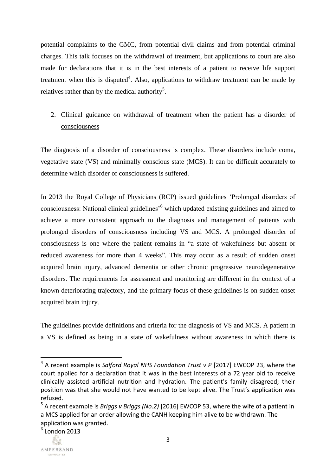potential complaints to the GMC, from potential civil claims and from potential criminal charges. This talk focuses on the withdrawal of treatment, but applications to court are also made for declarations that it is in the best interests of a patient to receive life support treatment when this is disputed<sup>4</sup>. Also, applications to withdraw treatment can be made by relatives rather than by the medical authority<sup>5</sup>.

# 2. Clinical guidance on withdrawal of treatment when the patient has a disorder of consciousness

The diagnosis of a disorder of consciousness is complex. These disorders include coma, vegetative state (VS) and minimally conscious state (MCS). It can be difficult accurately to determine which disorder of consciousness is suffered.

In 2013 the Royal College of Physicians (RCP) issued guidelines 'Prolonged disorders of consciousness: National clinical guidelines'<sup>6</sup> which updated existing guidelines and aimed to achieve a more consistent approach to the diagnosis and management of patients with prolonged disorders of consciousness including VS and MCS. A prolonged disorder of consciousness is one where the patient remains in "a state of wakefulness but absent or reduced awareness for more than 4 weeks". This may occur as a result of sudden onset acquired brain injury, advanced dementia or other chronic progressive neurodegenerative disorders. The requirements for assessment and monitoring are different in the context of a known deteriorating trajectory, and the primary focus of these guidelines is on sudden onset acquired brain injury.

The guidelines provide definitions and criteria for the diagnosis of VS and MCS. A patient in a VS is defined as being in a state of wakefulness without awareness in which there is

<sup>5</sup> A recent example is *Briggs v Briggs (No.2)* [2016] EWCOP 53, where the wife of a patient in a MCS applied for an order allowing the CANH keeping him alive to be withdrawn. The application was granted.



l

<sup>4</sup> A recent example is *Salford Royal NHS Foundation Trust v P* [2017] EWCOP 23, where the court applied for a declaration that it was in the best interests of a 72 year old to receive clinically assisted artificial nutrition and hydration. The patient's family disagreed; their position was that she would not have wanted to be kept alive. The Trust's application was refused.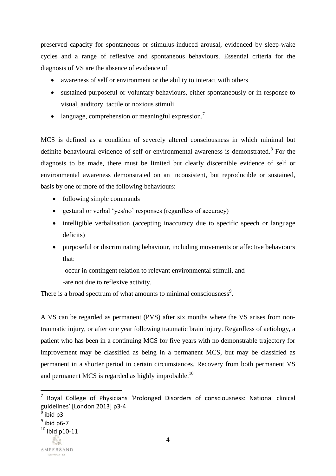preserved capacity for spontaneous or stimulus-induced arousal, evidenced by sleep-wake cycles and a range of reflexive and spontaneous behaviours. Essential criteria for the diagnosis of VS are the absence of evidence of

- awareness of self or environment or the ability to interact with others
- sustained purposeful or voluntary behaviours, either spontaneously or in response to visual, auditory, tactile or noxious stimuli
- $\bullet$  language, comprehension or meaningful expression.<sup>7</sup>

MCS is defined as a condition of severely altered consciousness in which minimal but definite behavioural evidence of self or environmental awareness is demonstrated.<sup>8</sup> For the diagnosis to be made, there must be limited but clearly discernible evidence of self or environmental awareness demonstrated on an inconsistent, but reproducible or sustained, basis by one or more of the following behaviours:

- following simple commands
- gestural or verbal 'yes/no' responses (regardless of accuracy)
- intelligible verbalisation (accepting inaccuracy due to specific speech or language deficits)
- purposeful or discriminating behaviour, including movements or affective behaviours that:

-occur in contingent relation to relevant environmental stimuli, and

-are not due to reflexive activity.

There is a broad spectrum of what amounts to minimal consciousness<sup>9</sup>.

A VS can be regarded as permanent (PVS) after six months where the VS arises from nontraumatic injury, or after one year following traumatic brain injury. Regardless of aetiology, a patient who has been in a continuing MCS for five years with no demonstrable trajectory for improvement may be classified as being in a permanent MCS, but may be classified as permanent in a shorter period in certain circumstances. Recovery from both permanent VS and permanent MCS is regarded as highly improbable.<sup>10</sup>

<sup>7</sup> Royal College of Physicians 'Prolonged Disorders of consciousness: National clinical guidelines' [London 2013] p3-4

 $^8$  ibid p3

<sup>&</sup>lt;sup>9</sup> ibid p6-7

 $10$  ibid p10-11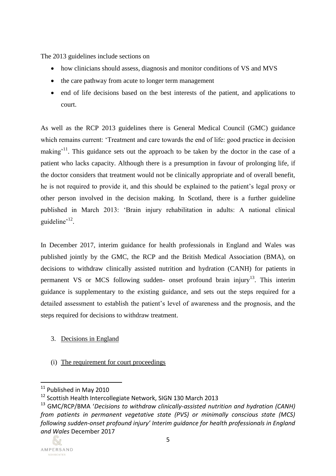The 2013 guidelines include sections on

- how clinicians should assess, diagnosis and monitor conditions of VS and MVS
- the care pathway from acute to longer term management
- end of life decisions based on the best interests of the patient, and applications to court.

As well as the RCP 2013 guidelines there is General Medical Council (GMC) guidance which remains current: 'Treatment and care towards the end of life: good practice in decision making<sup>'11</sup>. This guidance sets out the approach to be taken by the doctor in the case of a patient who lacks capacity. Although there is a presumption in favour of prolonging life, if the doctor considers that treatment would not be clinically appropriate and of overall benefit, he is not required to provide it, and this should be explained to the patient's legal proxy or other person involved in the decision making. In Scotland, there is a further guideline published in March 2013: 'Brain injury rehabilitation in adults: A national clinical guideline'<sup>12</sup>.

In December 2017, interim guidance for health professionals in England and Wales was published jointly by the GMC, the RCP and the British Medical Association (BMA), on decisions to withdraw clinically assisted nutrition and hydration (CANH) for patients in permanent VS or MCS following sudden- onset profound brain injury<sup>13</sup>. This interim guidance is supplementary to the existing guidance, and sets out the steps required for a detailed assessment to establish the patient's level of awareness and the prognosis, and the steps required for decisions to withdraw treatment.

3. Decisions in England

### (i) The requirement for court proceedings

<sup>13</sup> GMC/RCP/BMA '*Decisions to withdraw clinically-assisted nutrition and hydration (CANH) from patients in permanent vegetative state (PVS) or minimally conscious state (MCS) following sudden-onset profound injury' Interim guidance for health professionals in England and Wales* December 2017



<sup>&</sup>lt;sup>11</sup> Published in May 2010

<sup>&</sup>lt;sup>12</sup> Scottish Health Intercollegiate Network, SIGN 130 March 2013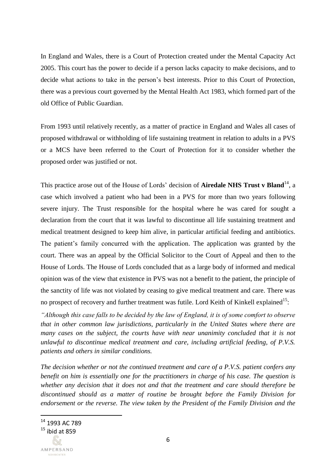In England and Wales, there is a Court of Protection created under the Mental Capacity Act 2005. This court has the power to decide if a person lacks capacity to make decisions, and to decide what actions to take in the person's best interests. Prior to this Court of Protection, there was a previous court governed by the Mental Health Act 1983, which formed part of the old Office of Public Guardian.

From 1993 until relatively recently, as a matter of practice in England and Wales all cases of proposed withdrawal or withholding of life sustaining treatment in relation to adults in a PVS or a MCS have been referred to the Court of Protection for it to consider whether the proposed order was justified or not.

This practice arose out of the House of Lords' decision of **Airedale NHS Trust v Bland**<sup>14</sup>, a case which involved a patient who had been in a PVS for more than two years following severe injury. The Trust responsible for the hospital where he was cared for sought a declaration from the court that it was lawful to discontinue all life sustaining treatment and medical treatment designed to keep him alive, in particular artificial feeding and antibiotics. The patient's family concurred with the application. The application was granted by the court. There was an appeal by the Official Solicitor to the Court of Appeal and then to the House of Lords. The House of Lords concluded that as a large body of informed and medical opinion was of the view that existence in PVS was not a benefit to the patient, the principle of the sanctity of life was not violated by ceasing to give medical treatment and care. There was no prospect of recovery and further treatment was futile. Lord Keith of Kinkell explained<sup>15</sup>:

*"Although this case falls to be decided by the law of England, it is of some comfort to observe that in other common law jurisdictions, particularly in the United States where there are many cases on the subject, the courts have with near unanimity concluded that it is not unlawful to discontinue medical treatment and care, including artificial feeding, of P.V.S. patients and others in similar conditions.* 

*The decision whether or not the continued treatment and care of a P.V.S. patient confers any benefit on him is essentially one for the practitioners in charge of his case. The question is whether any decision that it does not and that the treatment and care should therefore be discontinued should as a matter of routine be brought before the Family Division for endorsement or the reverse. The view taken by the President of the Family Division and the* 

 $^{14}$  1993 AC 789

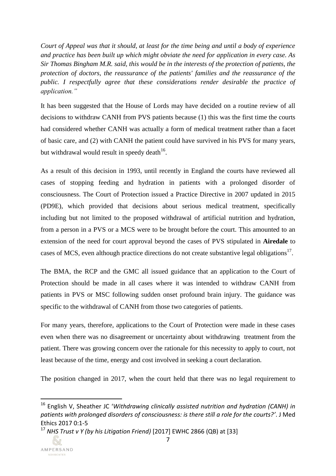*Court of Appeal was that it should, at least for the time being and until a body of experience and practice has been built up which might obviate the need for application in every case. As Sir Thomas Bingham M.R. said, this would be in the interests of the protection of patients, the protection of doctors, the reassurance of the patients' families and the reassurance of the public. I respectfully agree that these considerations render desirable the practice of application."* 

It has been suggested that the House of Lords may have decided on a routine review of all decisions to withdraw CANH from PVS patients because (1) this was the first time the courts had considered whether CANH was actually a form of medical treatment rather than a facet of basic care, and (2) with CANH the patient could have survived in his PVS for many years, but withdrawal would result in speedy death<sup>16</sup>.

As a result of this decision in 1993, until recently in England the courts have reviewed all cases of stopping feeding and hydration in patients with a prolonged disorder of consciousness. The Court of Protection issued a Practice Directive in 2007 updated in 2015 (PD9E), which provided that decisions about serious medical treatment, specifically including but not limited to the proposed withdrawal of artificial nutrition and hydration, from a person in a PVS or a MCS were to be brought before the court. This amounted to an extension of the need for court approval beyond the cases of PVS stipulated in **Airedale** to cases of MCS, even although practice directions do not create substantive legal obligations<sup>17</sup>.

The BMA, the RCP and the GMC all issued guidance that an application to the Court of Protection should be made in all cases where it was intended to withdraw CANH from patients in PVS or MSC following sudden onset profound brain injury. The guidance was specific to the withdrawal of CANH from those two categories of patients.

For many years, therefore, applications to the Court of Protection were made in these cases even when there was no disagreement or uncertainty about withdrawing treatment from the patient. There was growing concern over the rationale for this necessity to apply to court, not least because of the time, energy and cost involved in seeking a court declaration.

The position changed in 2017, when the court held that there was no legal requirement to

<sup>17</sup> *NHS Trust v Y (by his Litigation Friend)* [2017] EWHC 2866 (QB) at [33]



<sup>16</sup> English V, Sheather JC '*Withdrawing clinically assisted nutrition and hydration (CANH) in patients with prolonged disorders of consciousness: is there still a role for the courts?'*. J Med Ethics 2017 0:1-5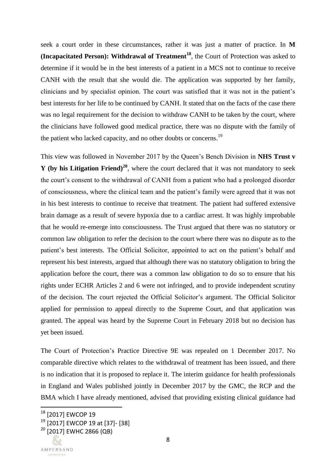seek a court order in these circumstances, rather it was just a matter of practice. In **M (Incapacitated Person): Withdrawal of Treatment<sup>18</sup>**, the Court of Protection was asked to determine if it would be in the best interests of a patient in a MCS not to continue to receive CANH with the result that she would die. The application was supported by her family, clinicians and by specialist opinion. The court was satisfied that it was not in the patient's best interests for her life to be continued by CANH. It stated that on the facts of the case there was no legal requirement for the decision to withdraw CANH to be taken by the court, where the clinicians have followed good medical practice, there was no dispute with the family of the patient who lacked capacity, and no other doubts or concerns.<sup>19</sup>

This view was followed in November 2017 by the Queen's Bench Division in **NHS Trust v Y (by his Litigation Friend)<sup>20</sup>** , where the court declared that it was not mandatory to seek the court's consent to the withdrawal of CANH from a patient who had a prolonged disorder of consciousness, where the clinical team and the patient's family were agreed that it was not in his best interests to continue to receive that treatment. The patient had suffered extensive brain damage as a result of severe hypoxia due to a cardiac arrest. It was highly improbable that he would re-emerge into consciousness. The Trust argued that there was no statutory or common law obligation to refer the decision to the court where there was no dispute as to the patient's best interests. The Official Solicitor, appointed to act on the patient's behalf and represent his best interests, argued that although there was no statutory obligation to bring the application before the court, there was a common law obligation to do so to ensure that his rights under ECHR Articles 2 and 6 were not infringed, and to provide independent scrutiny of the decision. The court rejected the Official Solicitor's argument. The Official Solicitor applied for permission to appeal directly to the Supreme Court, and that application was granted. The appeal was heard by the Supreme Court in February 2018 but no decision has yet been issued.

The Court of Protection's Practice Directive 9E was repealed on 1 December 2017. No comparable directive which relates to the withdrawal of treatment has been issued, and there is no indication that it is proposed to replace it. The interim guidance for health professionals in England and Wales published jointly in December 2017 by the GMC, the RCP and the BMA which I have already mentioned, advised that providing existing clinical guidance had

 $^{18}$  [2017] EWCOP 19

<sup>19</sup> [2017] EWCOP 19 at [37]- [38]

<sup>&</sup>lt;sup>20</sup> [2017] EWHC 2866 (QB)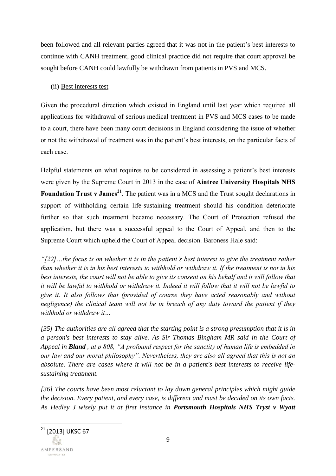been followed and all relevant parties agreed that it was not in the patient's best interests to continue with CANH treatment, good clinical practice did not require that court approval be sought before CANH could lawfully be withdrawn from patients in PVS and MCS.

### (ii) Best interests test

Given the procedural direction which existed in England until last year which required all applications for withdrawal of serious medical treatment in PVS and MCS cases to be made to a court, there have been many court decisions in England considering the issue of whether or not the withdrawal of treatment was in the patient's best interests, on the particular facts of each case.

Helpful statements on what requires to be considered in assessing a patient's best interests were given by the Supreme Court in 2013 in the case of **Aintree University Hospitals NHS**  Foundation Trust v James<sup>21</sup>. The patient was in a MCS and the Trust sought declarations in support of withholding certain life-sustaining treatment should his condition deteriorate further so that such treatment became necessary. The Court of Protection refused the application, but there was a successful appeal to the Court of Appeal, and then to the Supreme Court which upheld the Court of Appeal decision. Baroness Hale said:

*"[22]…the focus is on whether it is in the patient's best interest to give the treatment rather than whether it is in his best interests to withhold or withdraw it. If the treatment is not in his best interests, the court will not be able to give its consent on his behalf and it will follow that it will be lawful to withhold or withdraw it. Indeed it will follow that it will not be lawful to give it. It also follows that (provided of course they have acted reasonably and without negligence) the clinical team will not be in breach of any duty toward the patient if they withhold or withdraw it…* 

*[35] The authorities are all agreed that the starting point is a strong presumption that it is in a person's best interests to stay alive. As Sir Thomas Bingham MR said in the Court of Appeal in Bland , at p 808, "A profound respect for the sanctity of human life is embedded in our law and our moral philosophy". Nevertheless, they are also all agreed that this is not an absolute. There are cases where it will not be in a patient's best interests to receive lifesustaining treatment.*

*[36] The courts have been most reluctant to lay down general principles which might guide the decision. Every patient, and every case, is different and must be decided on its own facts. As Hedley J wisely put it at first instance in Portsmouth Hospitals NHS Tryst v Wyatt*

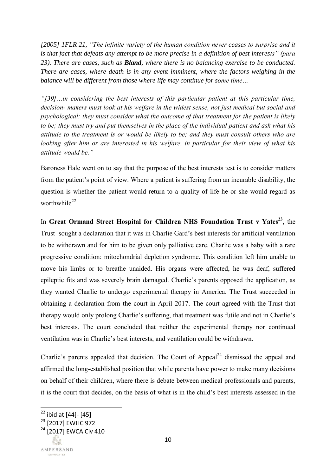*[2005] 1FLR 21, "The infinite variety of the human condition never ceases to surprise and it is that fact that defeats any attempt to be more precise in a definition of best interests" (para 23). There are cases, such as Bland, where there is no balancing exercise to be conducted. There are cases, where death is in any event imminent, where the factors weighing in the balance will be different from those where life may continue for some time…*

*"[39]…in considering the best interests of this particular patient at this particular time, decision- makers must look at his welfare in the widest sense, not just medical but social and psychological; they must consider what the outcome of that treatment for the patient is likely to be; they must try and put themselves in the place of the individual patient and ask what his attitude to the treatment is or would be likely to be; and they must consult others who are looking after him or are interested in his welfare, in particular for their view of what his attitude would be."*

Baroness Hale went on to say that the purpose of the best interests test is to consider matters from the patient's point of view. Where a patient is suffering from an incurable disability, the question is whether the patient would return to a quality of life he or she would regard as worthwhile<sup>22</sup>.

In **Great Ormand Street Hospital for Children NHS Foundation Trust v Yates<sup>23</sup>**, the Trust sought a declaration that it was in Charlie Gard's best interests for artificial ventilation to be withdrawn and for him to be given only palliative care. Charlie was a baby with a rare progressive condition: mitochondrial depletion syndrome. This condition left him unable to move his limbs or to breathe unaided. His organs were affected, he was deaf, suffered epileptic fits and was severely brain damaged. Charlie's parents opposed the application, as they wanted Charlie to undergo experimental therapy in America. The Trust succeeded in obtaining a declaration from the court in April 2017. The court agreed with the Trust that therapy would only prolong Charlie's suffering, that treatment was futile and not in Charlie's best interests. The court concluded that neither the experimental therapy nor continued ventilation was in Charlie's best interests, and ventilation could be withdrawn.

Charlie's parents appealed that decision. The Court of Appeal<sup>24</sup> dismissed the appeal and affirmed the long-established position that while parents have power to make many decisions on behalf of their children, where there is debate between medical professionals and parents, it is the court that decides, on the basis of what is in the child's best interests assessed in the

<sup>&</sup>lt;sup>22</sup> ibid at [44]- [45]

<sup>&</sup>lt;sup>23</sup> [2017] EWHC 972

<sup>&</sup>lt;sup>24</sup> [2017] EWCA Civ 410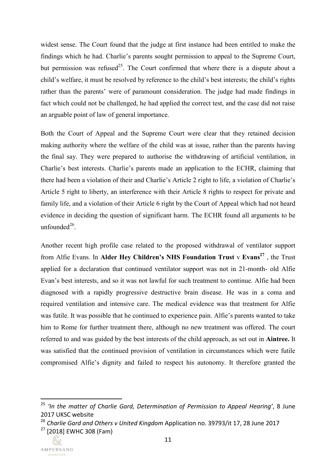widest sense. The Court found that the judge at first instance had been entitled to make the findings which he had. Charlie's parents sought permission to appeal to the Supreme Court, but permission was refused<sup>25</sup>. The Court confirmed that where there is a dispute about a child's welfare, it must be resolved by reference to the child's best interests; the child's rights rather than the parents' were of paramount consideration. The judge had made findings in fact which could not be challenged, he had applied the correct test, and the case did not raise an arguable point of law of general importance.

Both the Court of Appeal and the Supreme Court were clear that they retained decision making authority where the welfare of the child was at issue, rather than the parents having the final say. They were prepared to authorise the withdrawing of artificial ventilation, in Charlie's best interests. Charlie's parents made an application to the ECHR, claiming that there had been a violation of their and Charlie's Article 2 right to life, a violation of Charlie's Article 5 right to liberty, an interference with their Article 8 rights to respect for private and family life, and a violation of their Article 6 right by the Court of Appeal which had not heard evidence in deciding the question of significant harm. The ECHR found all arguments to be unfounded $^{26}$ .

Another recent high profile case related to the proposed withdrawal of ventilator support from Alfie Evans. In **Alder Hey Children's NHS Foundation Trust** v **Evans<sup>27</sup>** , the Trust applied for a declaration that continued ventilator support was not in 21-month- old Alfie Evan's best interests, and so it was not lawful for such treatment to continue. Alfie had been diagnosed with a rapidly progressive destructive brain disease. He was in a coma and required ventilation and intensive care. The medical evidence was that treatment for Alfie was futile. It was possible that he continued to experience pain. Alfie's parents wanted to take him to Rome for further treatment there, although no new treatment was offered. The court referred to and was guided by the best interests of the child approach, as set out in **Aintree.** It was satisfied that the continued provision of ventilation in circumstances which were futile compromised Alfie's dignity and failed to respect his autonomy. It therefore granted the

<sup>26</sup> *Charlie Gard and Others v United Kingdom* Application no. 39793/it 17, 28 June 2017 <sup>27</sup> [2018] EWHC 308 (Fam)



<sup>&</sup>lt;sup>25</sup> 'In the matter of Charlie Gard, Determination of Permission to Appeal Hearing', 8 June 2017 UKSC website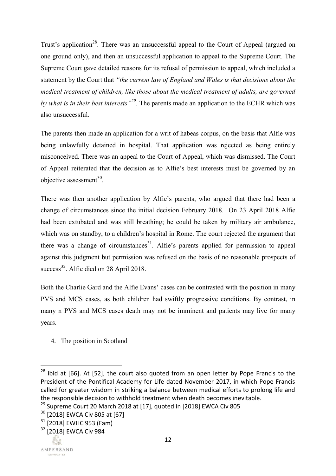Trust's application<sup>28</sup>. There was an unsuccessful appeal to the Court of Appeal (argued on one ground only), and then an unsuccessful application to appeal to the Supreme Court. The Supreme Court gave detailed reasons for its refusal of permission to appeal, which included a statement by the Court that *"the current law of England and Wales is that decisions about the medical treatment of children, like those about the medical treatment of adults, are governed by what is in their best interests"<sup>29</sup> .* The parents made an application to the ECHR which was also unsuccessful.

The parents then made an application for a writ of habeas corpus, on the basis that Alfie was being unlawfully detained in hospital. That application was rejected as being entirely misconceived. There was an appeal to the Court of Appeal, which was dismissed. The Court of Appeal reiterated that the decision as to Alfie's best interests must be governed by an objective assessment $^{30}$ .

There was then another application by Alfie's parents, who argued that there had been a change of circumstances since the initial decision February 2018. On 23 April 2018 Alfie had been extubated and was still breathing; he could be taken by military air ambulance, which was on standby, to a children's hospital in Rome. The court rejected the argument that there was a change of circumstances<sup>31</sup>. Alfie's parents applied for permission to appeal against this judgment but permission was refused on the basis of no reasonable prospects of success<sup>32</sup>. Alfie died on 28 April 2018.

Both the Charlie Gard and the Alfie Evans' cases can be contrasted with the position in many PVS and MCS cases, as both children had swiftly progressive conditions. By contrast, in many n PVS and MCS cases death may not be imminent and patients may live for many years.

4. The position in Scotland

l

 $28$  ibid at [66]. At [52], the court also quoted from an open letter by Pope Francis to the President of the Pontifical Academy for Life dated November 2017, in which Pope Francis called for greater wisdom in striking a balance between medical efforts to prolong life and the responsible decision to withhold treatment when death becomes inevitable.

<sup>&</sup>lt;sup>29</sup> Supreme Court 20 March 2018 at [17], quoted in [2018] EWCA Civ 805

<sup>30</sup> [2018] EWCA Civ 805 at [67]

 $31$  [2018] EWHC 953 (Fam)

<sup>&</sup>lt;sup>32</sup> [2018] EWCA Civ 984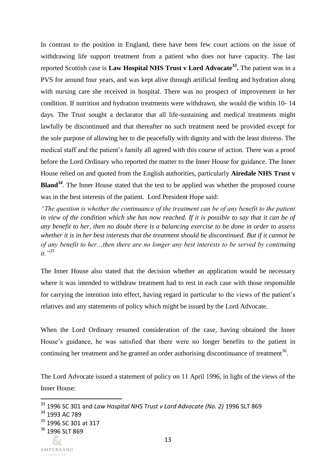In contrast to the position in England, there have been few court actions on the issue of withdrawing life support treatment from a patient who does not have capacity. The last reported Scottish case is **Law Hospital NHS Trust v Lord Advocate<sup>33</sup> .** The patient was in a PVS for around four years, and was kept alive through artificial feeding and hydration along with nursing care she received in hospital. There was no prospect of improvement in her condition. If nutrition and hydration treatments were withdrawn, she would die within 10- 14 days. The Trust sought a declarator that all life-sustaining and medical treatments might lawfully be discontinued and that thereafter no such treatment need be provided except for the sole purpose of allowing her to die peacefully with dignity and with the least distress. The medical staff and the patient's family all agreed with this course of action. There was a proof before the Lord Ordinary who reported the matter to the Inner House for guidance. The Inner House relied on and quoted from the English authorities, particularly **Airedale NHS Trust v Bland<sup>34</sup>**. The Inner House stated that the test to be applied was whether the proposed course was in the best interests of the patient. Lord President Hope said:

*"The question is whether the continuance of the treatment can be of any benefit to the patient in view of the condition which she has now reached. If it is possible to say that it can be of any benefit to her, then no doubt there is a balancing exercise to be done in order to assess whether it is in her best interests that the treatment should be discontinued. But if it cannot be of any benefit to her…then there are no longer any best interests to be served by continuing it."<sup>35</sup>*

The Inner House also stated that the decision whether an application would be necessary where it was intended to withdraw treatment had to rest in each case with those responsible for carrying the intention into effect, having regard in particular to the views of the patient's relatives and any statements of policy which might be issued by the Lord Advocate.

When the Lord Ordinary resumed consideration of the case, having obtained the Inner House's guidance, he was satisfied that there were no longer benefits to the patient in continuing her treatment and he granted an order authorising discontinuance of treatment<sup>36</sup>.

The Lord Advocate issued a statement of policy on 11 April 1996, in light of the views of the Inner House:

<sup>33</sup> 1996 SC 301 and *Law Hospital NHS Trust v Lord Advocate (No. 2)* 1996 SLT 869

<sup>34</sup> 1993 AC 789

<sup>&</sup>lt;sup>35</sup> 1996 SC 301 at 317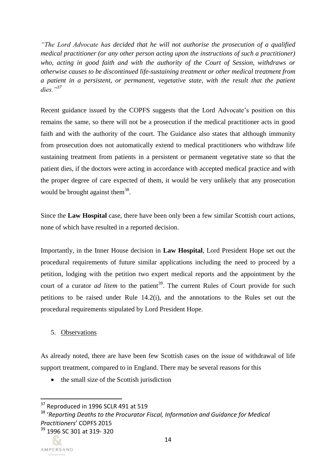*"The Lord Advocate has decided that he will not authorise the prosecution of a qualified medical practitioner (or any other person acting upon the instructions of such a practitioner) who, acting in good faith and with the authority of the Court of Session, withdraws or otherwise causes to be discontinued life-sustaining treatment or other medical treatment from a patient in a persistent, or permanent, vegetative state, with the result that the patient dies."<sup>37</sup>*

Recent guidance issued by the COPFS suggests that the Lord Advocate's position on this remains the same, so there will not be a prosecution if the medical practitioner acts in good faith and with the authority of the court. The Guidance also states that although immunity from prosecution does not automatically extend to medical practitioners who withdraw life sustaining treatment from patients in a persistent or permanent vegetative state so that the patient dies, if the doctors were acting in accordance with accepted medical practice and with the proper degree of care expected of them, it would be very unlikely that any prosecution would be brought against them<sup>38</sup>.

Since the **Law Hospital** case, there have been only been a few similar Scottish court actions, none of which have resulted in a reported decision.

Importantly, in the Inner House decision in **Law Hospital**, Lord President Hope set out the procedural requirements of future similar applications including the need to proceed by a petition, lodging with the petition two expert medical reports and the appointment by the court of a curator *ad litem* to the patient<sup>39</sup>. The current Rules of Court provide for such petitions to be raised under Rule 14.2(i), and the annotations to the Rules set out the procedural requirements stipulated by Lord President Hope.

### 5. Observations

As already noted, there are have been few Scottish cases on the issue of withdrawal of life support treatment, compared to in England. There may be several reasons for this

• the small size of the Scottish jurisdiction

<sup>39</sup> 1996 SC 301 at 319- 320

 $37$  Reproduced in 1996 SCLR 491 at 519

<sup>38</sup> '*Reporting Deaths to the Procurator Fiscal, Information and Guidance for Medical Practitioners*' COPFS 2015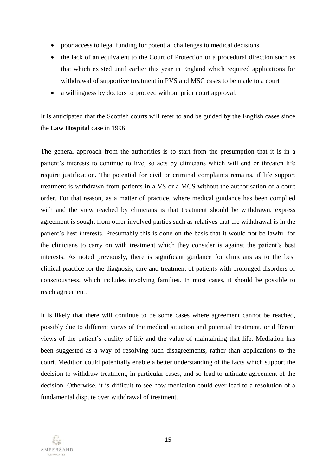- poor access to legal funding for potential challenges to medical decisions
- the lack of an equivalent to the Court of Protection or a procedural direction such as that which existed until earlier this year in England which required applications for withdrawal of supportive treatment in PVS and MSC cases to be made to a court
- a willingness by doctors to proceed without prior court approval.

It is anticipated that the Scottish courts will refer to and be guided by the English cases since the **Law Hospital** case in 1996.

The general approach from the authorities is to start from the presumption that it is in a patient's interests to continue to live, so acts by clinicians which will end or threaten life require justification. The potential for civil or criminal complaints remains, if life support treatment is withdrawn from patients in a VS or a MCS without the authorisation of a court order. For that reason, as a matter of practice, where medical guidance has been complied with and the view reached by clinicians is that treatment should be withdrawn, express agreement is sought from other involved parties such as relatives that the withdrawal is in the patient's best interests. Presumably this is done on the basis that it would not be lawful for the clinicians to carry on with treatment which they consider is against the patient's best interests. As noted previously, there is significant guidance for clinicians as to the best clinical practice for the diagnosis, care and treatment of patients with prolonged disorders of consciousness, which includes involving families. In most cases, it should be possible to reach agreement.

It is likely that there will continue to be some cases where agreement cannot be reached, possibly due to different views of the medical situation and potential treatment, or different views of the patient's quality of life and the value of maintaining that life. Mediation has been suggested as a way of resolving such disagreements, rather than applications to the court. Medition could potentially enable a better understanding of the facts which support the decision to withdraw treatment, in particular cases, and so lead to ultimate agreement of the decision. Otherwise, it is difficult to see how mediation could ever lead to a resolution of a fundamental dispute over withdrawal of treatment.